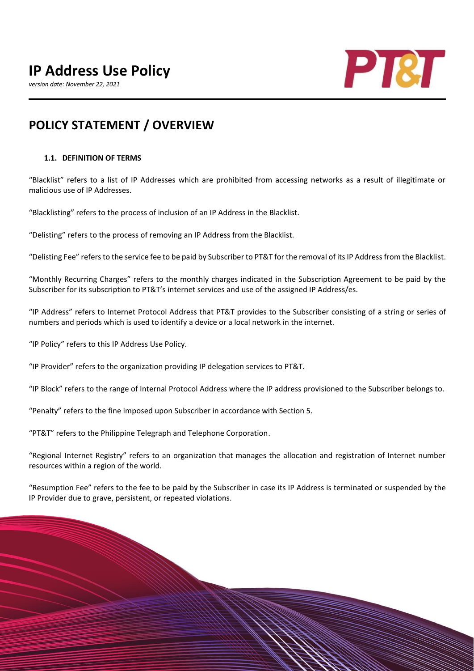# **IP Address Use Policy**

*version date: November 22, 2021*



# **POLICY STATEMENT / OVERVIEW**

#### **1.1. DEFINITION OF TERMS**

"Blacklist" refers to a list of IP Addresses which are prohibited from accessing networks as a result of illegitimate or malicious use of IP Addresses.

"Blacklisting" refers to the process of inclusion of an IP Address in the Blacklist.

"Delisting" refers to the process of removing an IP Address from the Blacklist.

"Delisting Fee" refers to the service fee to be paid by Subscriber to PT&T for the removal of its IP Address from the Blacklist.

"Monthly Recurring Charges" refers to the monthly charges indicated in the Subscription Agreement to be paid by the Subscriber for its subscription to PT&T's internet services and use of the assigned IP Address/es.

"IP Address" refers to Internet Protocol Address that PT&T provides to the Subscriber consisting of a string or series of numbers and periods which is used to identify a device or a local network in the internet.

"IP Policy" refers to this IP Address Use Policy.

"IP Provider" refers to the organization providing IP delegation services to PT&T.

"IP Block" refers to the range of Internal Protocol Address where the IP address provisioned to the Subscriber belongs to.

"Penalty" refers to the fine imposed upon Subscriber in accordance with Section 5.

"PT&T" refers to the Philippine Telegraph and Telephone Corporation.

"Regional Internet Registry" refers to an organization that manages the allocation and registration of Internet number resources within a region of the world.

"Resumption Fee" refers to the fee to be paid by the Subscriber in case its IP Address is terminated or suspended by the IP Provider due to grave, persistent, or repeated violations.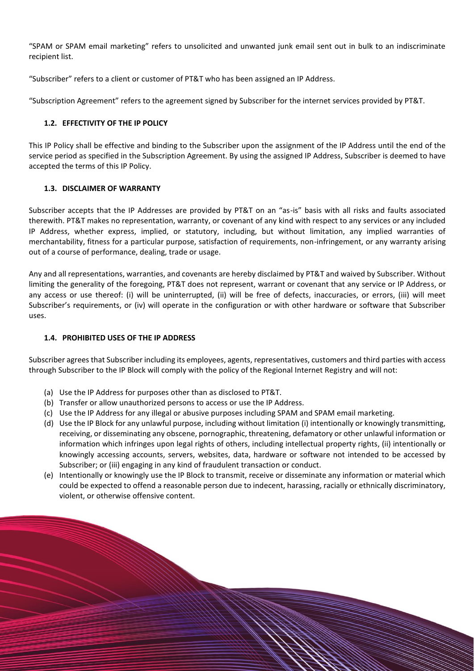"SPAM or SPAM email marketing" refers to unsolicited and unwanted junk email sent out in bulk to an indiscriminate recipient list.

"Subscriber" refers to a client or customer of PT&T who has been assigned an IP Address.

"Subscription Agreement" refers to the agreement signed by Subscriber for the internet services provided by PT&T.

# **1.2. EFFECTIVITY OF THE IP POLICY**

This IP Policy shall be effective and binding to the Subscriber upon the assignment of the IP Address until the end of the service period as specified in the Subscription Agreement. By using the assigned IP Address, Subscriber is deemed to have accepted the terms of this IP Policy.

# **1.3. DISCLAIMER OF WARRANTY**

Subscriber accepts that the IP Addresses are provided by PT&T on an "as-is" basis with all risks and faults associated therewith. PT&T makes no representation, warranty, or covenant of any kind with respect to any services or any included IP Address, whether express, implied, or statutory, including, but without limitation, any implied warranties of merchantability, fitness for a particular purpose, satisfaction of requirements, non-infringement, or any warranty arising out of a course of performance, dealing, trade or usage.

Any and all representations, warranties, and covenants are hereby disclaimed by PT&T and waived by Subscriber. Without limiting the generality of the foregoing, PT&T does not represent, warrant or covenant that any service or IP Address, or any access or use thereof: (i) will be uninterrupted, (ii) will be free of defects, inaccuracies, or errors, (iii) will meet Subscriber's requirements, or (iv) will operate in the configuration or with other hardware or software that Subscriber uses.

### **1.4. PROHIBITED USES OF THE IP ADDRESS**

Subscriber agrees that Subscriber including its employees, agents, representatives, customers and third parties with access through Subscriber to the IP Block will comply with the policy of the Regional Internet Registry and will not:

- (a) Use the IP Address for purposes other than as disclosed to PT&T.
- (b) Transfer or allow unauthorized persons to access or use the IP Address.
- (c) Use the IP Address for any illegal or abusive purposes including SPAM and SPAM email marketing.
- (d) Use the IP Block for any unlawful purpose, including without limitation (i) intentionally or knowingly transmitting, receiving, or disseminating any obscene, pornographic, threatening, defamatory or other unlawful information or information which infringes upon legal rights of others, including intellectual property rights, (ii) intentionally or knowingly accessing accounts, servers, websites, data, hardware or software not intended to be accessed by Subscriber; or (iii) engaging in any kind of fraudulent transaction or conduct.
- (e) Intentionally or knowingly use the IP Block to transmit, receive or disseminate any information or material which could be expected to offend a reasonable person due to indecent, harassing, racially or ethnically discriminatory, violent, or otherwise offensive content.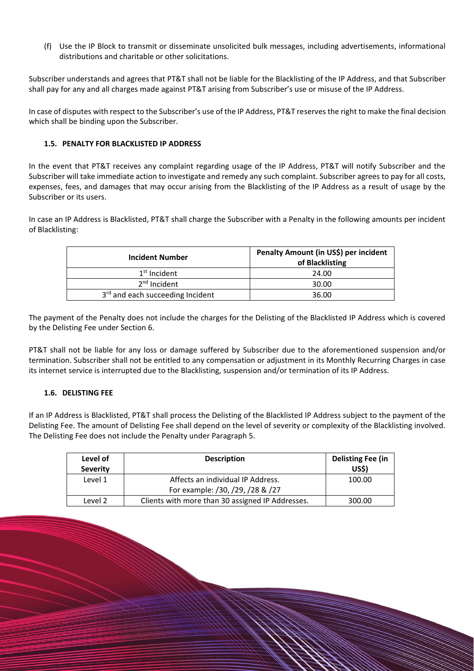(f) Use the IP Block to transmit or disseminate unsolicited bulk messages, including advertisements, informational distributions and charitable or other solicitations.

Subscriber understands and agrees that PT&T shall not be liable for the Blacklisting of the IP Address, and that Subscriber shall pay for any and all charges made against PT&T arising from Subscriber's use or misuse of the IP Address.

In case of disputes with respect to the Subscriber's use of the IP Address, PT&T reserves the right to make the final decision which shall be binding upon the Subscriber.

### **1.5. PENALTY FOR BLACKLISTED IP ADDRESS**

In the event that PT&T receives any complaint regarding usage of the IP Address, PT&T will notify Subscriber and the Subscriber will take immediate action to investigate and remedy any such complaint. Subscriber agrees to pay for all costs, expenses, fees, and damages that may occur arising from the Blacklisting of the IP Address as a result of usage by the Subscriber or its users.

In case an IP Address is Blacklisted, PT&T shall charge the Subscriber with a Penalty in the following amounts per incident of Blacklisting:

| <b>Incident Number</b>           | Penalty Amount (in US\$) per incident<br>of Blacklisting |  |
|----------------------------------|----------------------------------------------------------|--|
| $1st$ Incident                   | 24.00                                                    |  |
| $2nd$ Incident                   | 30.00                                                    |  |
| 3rd and each succeeding Incident | 36.00                                                    |  |

The payment of the Penalty does not include the charges for the Delisting of the Blacklisted IP Address which is covered by the Delisting Fee under Section 6.

PT&T shall not be liable for any loss or damage suffered by Subscriber due to the aforementioned suspension and/or termination. Subscriber shall not be entitled to any compensation or adjustment in its Monthly Recurring Charges in case its internet service is interrupted due to the Blacklisting, suspension and/or termination of its IP Address.

#### **1.6. DELISTING FEE**

If an IP Address is Blacklisted, PT&T shall process the Delisting of the Blacklisted IP Address subject to the payment of the Delisting Fee. The amount of Delisting Fee shall depend on the level of severity or complexity of the Blacklisting involved. The Delisting Fee does not include the Penalty under Paragraph 5.

| Level of<br><b>Severity</b> | <b>Description</b>                               | Delisting Fee (in<br><b>US\$)</b> |
|-----------------------------|--------------------------------------------------|-----------------------------------|
| Level 1                     | Affects an individual IP Address.                | 100.00                            |
|                             | For example: /30, /29, /28 & /27                 |                                   |
| Level 2                     | Clients with more than 30 assigned IP Addresses. | 300.00                            |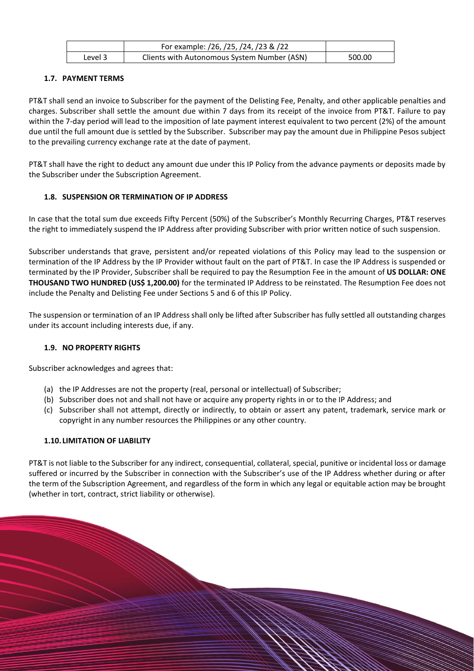|         | For example: /26, /25, /24, /23 & /22       |        |
|---------|---------------------------------------------|--------|
| Level 3 | Clients with Autonomous System Number (ASN) | 500.00 |

# **1.7. PAYMENT TERMS**

PT&T shall send an invoice to Subscriber for the payment of the Delisting Fee, Penalty, and other applicable penalties and charges. Subscriber shall settle the amount due within 7 days from its receipt of the invoice from PT&T. Failure to pay within the 7-day period will lead to the imposition of late payment interest equivalent to two percent (2%) of the amount due until the full amount due is settled by the Subscriber. Subscriber may pay the amount due in Philippine Pesos subject to the prevailing currency exchange rate at the date of payment.

PT&T shall have the right to deduct any amount due under this IP Policy from the advance payments or deposits made by the Subscriber under the Subscription Agreement.

# **1.8. SUSPENSION OR TERMINATION OF IP ADDRESS**

In case that the total sum due exceeds Fifty Percent (50%) of the Subscriber's Monthly Recurring Charges, PT&T reserves the right to immediately suspend the IP Address after providing Subscriber with prior written notice of such suspension.

Subscriber understands that grave, persistent and/or repeated violations of this Policy may lead to the suspension or termination of the IP Address by the IP Provider without fault on the part of PT&T. In case the IP Address is suspended or terminated by the IP Provider, Subscriber shall be required to pay the Resumption Fee in the amount of **US DOLLAR: ONE THOUSAND TWO HUNDRED (US\$ 1,200.00)** for the terminated IP Address to be reinstated. The Resumption Fee does not include the Penalty and Delisting Fee under Sections 5 and 6 of this IP Policy.

The suspension or termination of an IP Address shall only be lifted after Subscriber has fully settled all outstanding charges under its account including interests due, if any.

#### **1.9. NO PROPERTY RIGHTS**

Subscriber acknowledges and agrees that:

- (a) the IP Addresses are not the property (real, personal or intellectual) of Subscriber;
- (b) Subscriber does not and shall not have or acquire any property rights in or to the IP Address; and
- (c) Subscriber shall not attempt, directly or indirectly, to obtain or assert any patent, trademark, service mark or copyright in any number resources the Philippines or any other country.

#### **1.10. LIMITATION OF LIABILITY**

PT&T is not liable to the Subscriber for any indirect, consequential, collateral, special, punitive or incidental loss or damage suffered or incurred by the Subscriber in connection with the Subscriber's use of the IP Address whether during or after the term of the Subscription Agreement, and regardless of the form in which any legal or equitable action may be brought (whether in tort, contract, strict liability or otherwise).